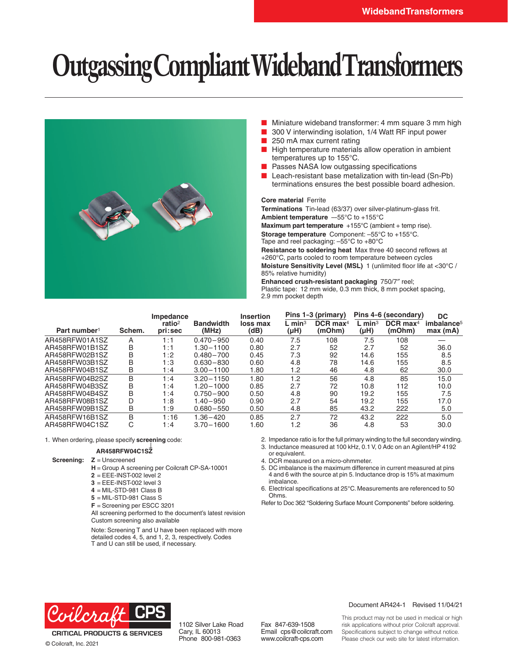# **Outgassing Compliant Wideband Transformers**



- Miniature wideband transformer: 4 mm square 3 mm high
- 300 V interwinding isolation, 1/4 Watt RF input power
- 250 mA max current rating
- High temperature materials allow operation in ambient temperatures up to 155°C.
- Passes NASA low outgassing specifications
- Leach-resistant base metalization with tin-lead (Sn-Pb) terminations ensures the best possible board adhesion.

#### **Core material** Ferrite

**Terminations** Tin-lead (63/37) over silver-platinum-glass frit. **Ambient temperature** –-55°C to +155°C

**Maximum part temperature** +155°C (ambient + temp rise). **Storage temperature** Component: –55°C to +155°C. Tape and reel packaging: –55°C to +80°C

**Resistance to soldering heat** Max three 40 second reflows at +260°C, parts cooled to room temperature between cycles **Moisture Sensitivity Level (MSL)** 1 (unlimited floor life at <30°C / 85% relative humidity)

**Enhanced crush-resistant packaging** 750/7″ reel; Plastic tape: 12 mm wide, 0.3 mm thick, 8 mm pocket spacing, 2.9 mm pocket depth

|                          |        | Impedance                     |                           | <b>Insertion</b> | Pins 1-3 (primary)           |                                  | Pins 4-6 (secondary)         |                                  | DC.                               |
|--------------------------|--------|-------------------------------|---------------------------|------------------|------------------------------|----------------------------------|------------------------------|----------------------------------|-----------------------------------|
| Part number <sup>1</sup> | Schem. | ratio <sup>2</sup><br>pri:sec | <b>Bandwidth</b><br>(MHz) | loss max<br>(dB) | $L$ min <sup>3</sup><br>(µH) | $DCR$ max <sup>4</sup><br>(mOhm) | $L$ min <sup>3</sup><br>(µH) | $DCR$ max <sup>4</sup><br>(mOhm) | imbalance <sup>5</sup><br>max(mA) |
| AR458RFW01A1SZ           | A      | 1:1                           | $0.470 - 950$             | 0.40             | 7.5                          | 108                              | 7.5                          | 108                              |                                   |
| AR458RFW01B1SZ           | B      | 1:1                           | 1.30 - 1100               | 0.80             | 2.7                          | 52                               | 2.7                          | 52                               | 36.0                              |
| AR458RFW02B1SZ           | B      | :2                            | $0.480 - 700$             | 0.45             | 7.3                          | 92                               | 14.6                         | 155                              | 8.5                               |
| AR458RFW03B1SZ           | B      | :3                            | $0.630 - 830$             | 0.60             | 4.8                          | 78                               | 14.6                         | 155                              | 8.5                               |
| AR458RFW04B1SZ           | В      | 1:4                           | $3.00 - 1100$             | 1.80             | 1.2                          | 46                               | 4.8                          | 62                               | 30.0                              |
| AR458RFW04B2SZ           | B      | :4                            | $3.20 - 1150$             | 1.80             | 1.2                          | 56                               | 4.8                          | 85                               | 15.0                              |
| AR458RFW04B3SZ           | B      | :4                            | $1.20 - 1000$             | 0.85             | 2.7                          | 72                               | 10.8                         | 112                              | 10.0                              |
| AR458RFW04B4SZ           | B      | :4                            | $0.750 - 900$             | 0.50             | 4.8                          | 90                               | 19.2                         | 155                              | 7.5                               |
| AR458RFW08B1SZ           | D      | :8                            | $1.40 - 950$              | 0.90             | 2.7                          | 54                               | 19.2                         | 155                              | 17.0                              |
| AR458RFW09B1SZ           | В      | :9                            | $0.680 - 550$             | 0.50             | 4.8                          | 85                               | 43.2                         | 222                              | 5.0                               |
| AR458RFW16B1SZ           | B      | :16                           | $1.36 - 420$              | 0.85             | 2.7                          | 72                               | 43.2                         | 222                              | 5.0                               |
| AR458RFW04C1SZ           | С      | :4                            | $3.70 - 1600$             | 1.60             | 1.2                          | 36                               | 4.8                          | 53                               | 30.0                              |

1. When ordering, please specify **screening** code:

#### **AR458RFW04C1SZ**

**Screening: Z** = Unscreened

**H** = Group A screening per Coilcraft CP-SA-10001

**2** = EEE-INST-002 level 2

**3** = EEE-INST-002 level 3

- **4** = MIL-STD-981 Class B
- **5** = MIL-STD-981 Class S
- **F** = Screening per ESCC 3201

All screening performed to the document's latest revision Custom screening also available

Note: Screening T and U have been replaced with more detailed codes 4, 5, and 1, 2, 3, respectively. Codes T and U can still be used, if necessary.

- 2. Impedance ratio is for the full primary winding to the full secondary winding.
- 3. Inductance measured at 100 kHz, 0.1 V, 0 Adc on an Agilent/HP 4192 or equivalent.

4. DCR measured on a micro-ohmmeter.

- 5. DC imbalance is the maximum difference in current measured at pins 4 and 6 with the source at pin 5. Inductance drop is 15% at maximum imbalance.
- 6. Electrical specifications at 25°C. Measurements are referenced to 50 Ohms.

Refer to Doc 362 "Soldering Surface Mount Components" before soldering.



**CRITICAL PRODUCTS & SERVICES** © Coilcraft, Inc. 2021

1102 Silver Lake Road Cary, IL 60013 Phone 800-981-0363

Fax 847-639-1508 Email cps@coilcraft.com www.coilcraft-cps.com

#### Document AR424-1 Revised 11/04/21

This product may not be used in medical or high risk applications without prior Coilcraft approval. Specifications subject to change without notice. Please check our web site for latest information.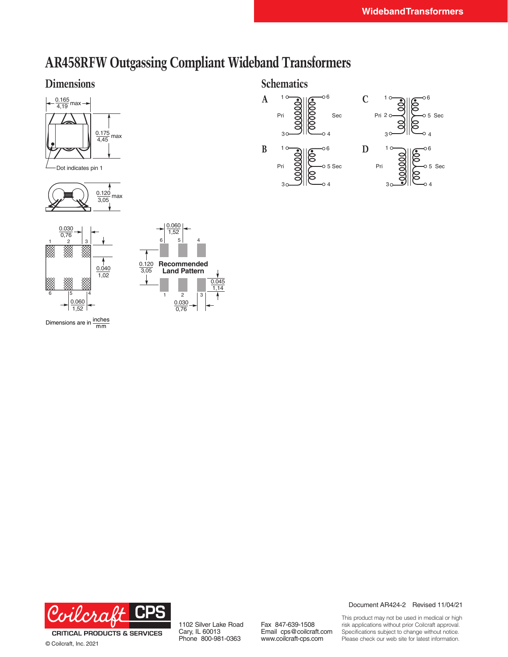## **AR458RFW Outgassing Compliant Wideband Transformers**

### **Dimensions**



Dot indicates pin 1





Dimensions are in  $\frac{\text{inches}}{\text{mm}}$ 









© Coilcraft, Inc. 2021

1102 Silver Lake Road Cary, IL 60013 Phone 800-981-0363

Fax 847-639-1508 Email cps@coilcraft.com www.coilcraft-cps.com

Document AR424-2 Revised 11/04/21

This product may not be used in medical or high risk applications without prior Coilcraft approval. Specifications subject to change without notice. Please check our web site for latest information.